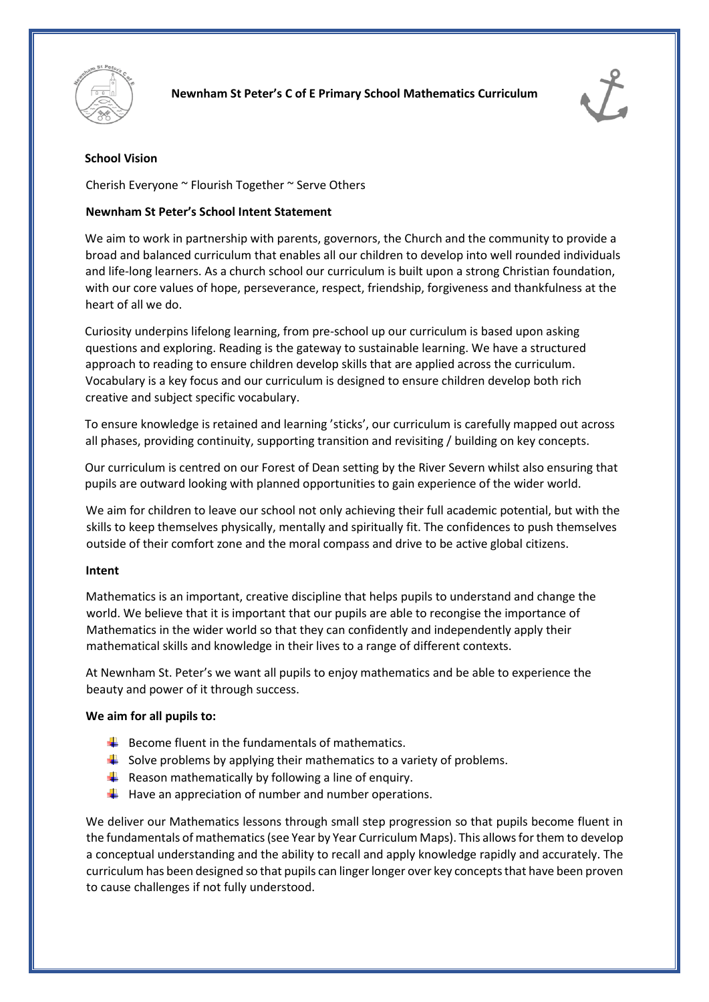



# **School Vision**

Cherish Everyone ~ Flourish Together ~ Serve Others

# **Newnham St Peter's School Intent Statement**

We aim to work in partnership with parents, governors, the Church and the community to provide a broad and balanced curriculum that enables all our children to develop into well rounded individuals and life-long learners. As a church school our curriculum is built upon a strong Christian foundation, with our core values of hope, perseverance, respect, friendship, forgiveness and thankfulness at the heart of all we do.

Curiosity underpins lifelong learning, from pre-school up our curriculum is based upon asking questions and exploring. Reading is the gateway to sustainable learning. We have a structured approach to reading to ensure children develop skills that are applied across the curriculum. Vocabulary is a key focus and our curriculum is designed to ensure children develop both rich creative and subject specific vocabulary.

To ensure knowledge is retained and learning 'sticks', our curriculum is carefully mapped out across all phases, providing continuity, supporting transition and revisiting / building on key concepts.

Our curriculum is centred on our Forest of Dean setting by the River Severn whilst also ensuring that pupils are outward looking with planned opportunities to gain experience of the wider world.

We aim for children to leave our school not only achieving their full academic potential, but with the skills to keep themselves physically, mentally and spiritually fit. The confidences to push themselves outside of their comfort zone and the moral compass and drive to be active global citizens.

### **Intent**

Mathematics is an important, creative discipline that helps pupils to understand and change the world. We believe that it is important that our pupils are able to recongise the importance of Mathematics in the wider world so that they can confidently and independently apply their mathematical skills and knowledge in their lives to a range of different contexts.

At Newnham St. Peter's we want all pupils to enjoy mathematics and be able to experience the beauty and power of it through success.

### **We aim for all pupils to:**

- $\bigstar$  Become fluent in the fundamentals of mathematics.
- $\downarrow$  Solve problems by applying their mathematics to a variety of problems.
- Reason mathematically by following a line of enquiry.
- $\downarrow$  Have an appreciation of number and number operations.

We deliver our Mathematics lessons through small step progression so that pupils become fluent in the fundamentals of mathematics (see Year by Year Curriculum Maps). This allows for them to develop a conceptual understanding and the ability to recall and apply knowledge rapidly and accurately. The curriculum has been designed so that pupils can linger longer over key concepts that have been proven to cause challenges if not fully understood.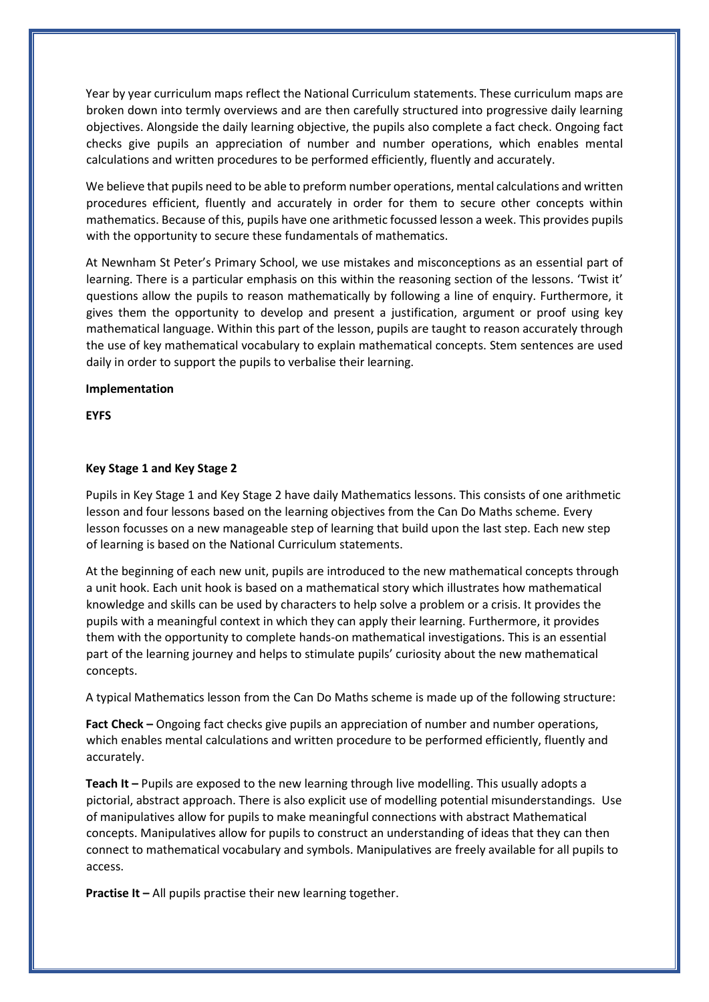Year by year curriculum maps reflect the National Curriculum statements. These curriculum maps are broken down into termly overviews and are then carefully structured into progressive daily learning objectives. Alongside the daily learning objective, the pupils also complete a fact check. Ongoing fact checks give pupils an appreciation of number and number operations, which enables mental calculations and written procedures to be performed efficiently, fluently and accurately.

We believe that pupils need to be able to preform number operations, mental calculations and written procedures efficient, fluently and accurately in order for them to secure other concepts within mathematics. Because of this, pupils have one arithmetic focussed lesson a week. This provides pupils with the opportunity to secure these fundamentals of mathematics.

At Newnham St Peter's Primary School, we use mistakes and misconceptions as an essential part of learning. There is a particular emphasis on this within the reasoning section of the lessons. 'Twist it' questions allow the pupils to reason mathematically by following a line of enquiry. Furthermore, it gives them the opportunity to develop and present a justification, argument or proof using key mathematical language. Within this part of the lesson, pupils are taught to reason accurately through the use of key mathematical vocabulary to explain mathematical concepts. Stem sentences are used daily in order to support the pupils to verbalise their learning.

#### **Implementation**

**EYFS**

### **Key Stage 1 and Key Stage 2**

Pupils in Key Stage 1 and Key Stage 2 have daily Mathematics lessons. This consists of one arithmetic lesson and four lessons based on the learning objectives from the Can Do Maths scheme. Every lesson focusses on a new manageable step of learning that build upon the last step. Each new step of learning is based on the National Curriculum statements.

At the beginning of each new unit, pupils are introduced to the new mathematical concepts through a unit hook. Each unit hook is based on a mathematical story which illustrates how mathematical knowledge and skills can be used by characters to help solve a problem or a crisis. It provides the pupils with a meaningful context in which they can apply their learning. Furthermore, it provides them with the opportunity to complete hands-on mathematical investigations. This is an essential part of the learning journey and helps to stimulate pupils' curiosity about the new mathematical concepts.

A typical Mathematics lesson from the Can Do Maths scheme is made up of the following structure:

**Fact Check –** Ongoing fact checks give pupils an appreciation of number and number operations, which enables mental calculations and written procedure to be performed efficiently, fluently and accurately.

**Teach It –** Pupils are exposed to the new learning through live modelling. This usually adopts a pictorial, abstract approach. There is also explicit use of modelling potential misunderstandings. Use of manipulatives allow for pupils to make meaningful connections with abstract Mathematical concepts. Manipulatives allow for pupils to construct an understanding of ideas that they can then connect to mathematical vocabulary and symbols. Manipulatives are freely available for all pupils to access.

**Practise It –** All pupils practise their new learning together.